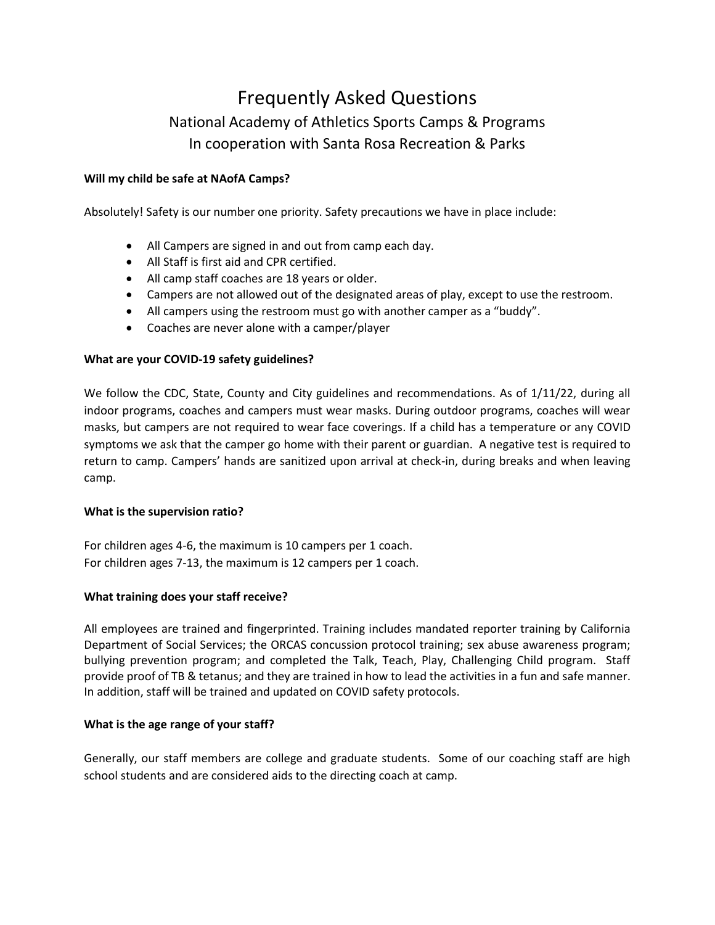# Frequently Asked Questions National Academy of Athletics Sports Camps & Programs In cooperation with Santa Rosa Recreation & Parks

# **Will my child be safe at NAofA Camps?**

Absolutely! Safety is our number one priority. Safety precautions we have in place include:

- All Campers are signed in and out from camp each day.
- All Staff is first aid and CPR certified.
- All camp staff coaches are 18 years or older.
- Campers are not allowed out of the designated areas of play, except to use the restroom.
- All campers using the restroom must go with another camper as a "buddy".
- Coaches are never alone with a camper/player

# **What are your COVID-19 safety guidelines?**

We follow the CDC, State, County and City guidelines and recommendations. As of 1/11/22, during all indoor programs, coaches and campers must wear masks. During outdoor programs, coaches will wear masks, but campers are not required to wear face coverings. If a child has a temperature or any COVID symptoms we ask that the camper go home with their parent or guardian. A negative test is required to return to camp. Campers' hands are sanitized upon arrival at check-in, during breaks and when leaving camp.

#### **What is the supervision ratio?**

For children ages 4-6, the maximum is 10 campers per 1 coach. For children ages 7-13, the maximum is 12 campers per 1 coach.

# **What training does your staff receive?**

All employees are trained and fingerprinted. Training includes mandated reporter training by California Department of Social Services; the ORCAS concussion protocol training; sex abuse awareness program; bullying prevention program; and completed the Talk, Teach, Play, Challenging Child program. Staff provide proof of TB & tetanus; and they are trained in how to lead the activities in a fun and safe manner. In addition, staff will be trained and updated on COVID safety protocols.

#### **What is the age range of your staff?**

Generally, our staff members are college and graduate students. Some of our coaching staff are high school students and are considered aids to the directing coach at camp.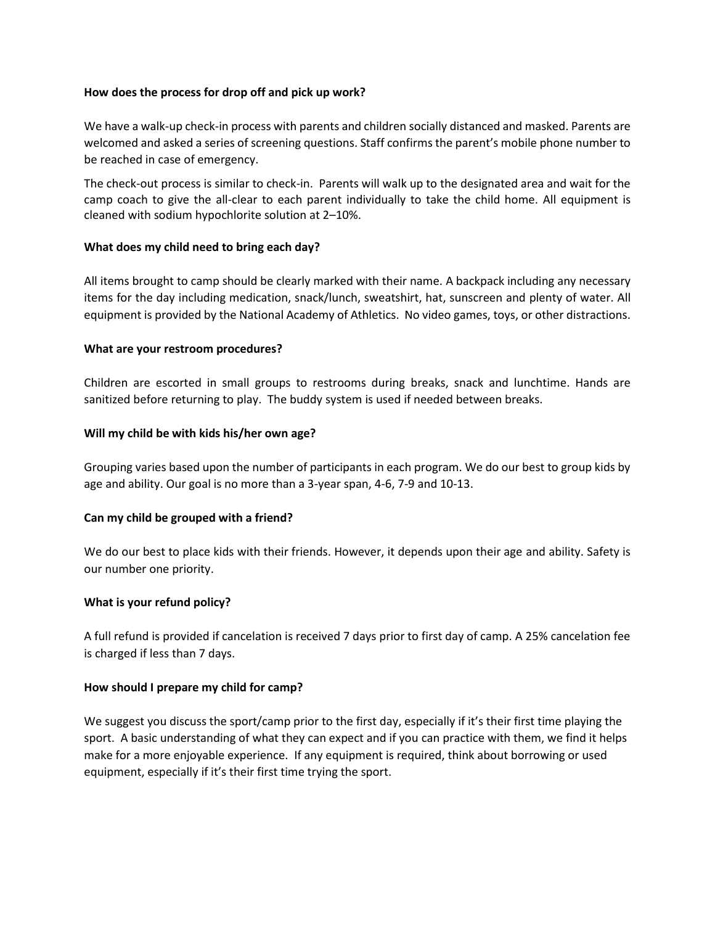## **How does the process for drop off and pick up work?**

We have a walk-up check-in process with parents and children socially distanced and masked. Parents are welcomed and asked a series of screening questions. Staff confirms the parent's mobile phone number to be reached in case of emergency.

The check-out process is similar to check-in. Parents will walk up to the designated area and wait for the camp coach to give the all-clear to each parent individually to take the child home. All equipment is cleaned with sodium hypochlorite solution at 2–10%.

## **What does my child need to bring each day?**

All items brought to camp should be clearly marked with their name. A backpack including any necessary items for the day including medication, snack/lunch, sweatshirt, hat, sunscreen and plenty of water. All equipment is provided by the National Academy of Athletics. No video games, toys, or other distractions.

## **What are your restroom procedures?**

Children are escorted in small groups to restrooms during breaks, snack and lunchtime. Hands are sanitized before returning to play. The buddy system is used if needed between breaks.

## **Will my child be with kids his/her own age?**

Grouping varies based upon the number of participants in each program. We do our best to group kids by age and ability. Our goal is no more than a 3-year span, 4-6, 7-9 and 10-13.

# **Can my child be grouped with a friend?**

We do our best to place kids with their friends. However, it depends upon their age and ability. Safety is our number one priority.

#### **What is your refund policy?**

A full refund is provided if cancelation is received 7 days prior to first day of camp. A 25% cancelation fee is charged if less than 7 days.

#### **How should I prepare my child for camp?**

We suggest you discuss the sport/camp prior to the first day, especially if it's their first time playing the sport. A basic understanding of what they can expect and if you can practice with them, we find it helps make for a more enjoyable experience. If any equipment is required, think about borrowing or used equipment, especially if it's their first time trying the sport.